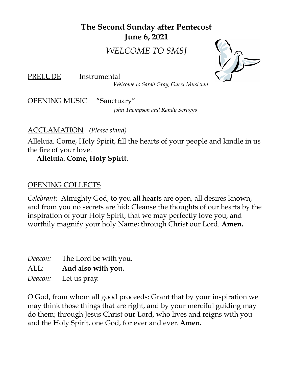**The Second Sunday after Pentecost June 6, 2021**

*WELCOME TO SMSJ*

PRELUDE Instrumental

*Welcome to Sarah Gray, Guest Musician*

OPENING MUSIC "Sanctuary"

*John Thompson and Randy Scruggs*

#### ACCLAMATION *(Please stand)*

Alleluia. Come, Holy Spirit, fill the hearts of your people and kindle in us the fire of your love.

#### **Alleluia. Come, Holy Spirit.**

#### OPENING COLLECTS

*Celebrant:* Almighty God, to you all hearts are open, all desires known, and from you no secrets are hid: Cleanse the thoughts of our hearts by the inspiration of your Holy Spirit, that we may perfectly love you, and worthily magnify your holy Name; through Christ our Lord. **Amen.**

*Deacon:* The Lord be with you. ALL: **And also with you.** *Deacon:* Let us pray.

O God, from whom all good proceeds: Grant that by your inspiration we may think those things that are right, and by your merciful guiding may do them; through Jesus Christ our Lord, who lives and reigns with you and the Holy Spirit, one God, for ever and ever. **Amen.**

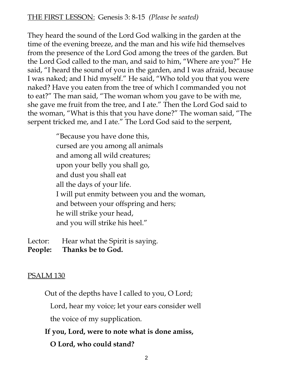#### THE FIRST LESSON: Genesis 3: 8-15 *(Please be seated)*

They heard the sound of the Lord God walking in the garden at the time of the evening breeze, and the man and his wife hid themselves from the presence of the Lord God among the trees of the garden. But the Lord God called to the man, and said to him, "Where are you?" He said, "I heard the sound of you in the garden, and I was afraid, because I was naked; and I hid myself." He said, "Who told you that you were naked? Have you eaten from the tree of which I commanded you not to eat?" The man said, "The woman whom you gave to be with me, she gave me fruit from the tree, and I ate." Then the Lord God said to the woman, "What is this that you have done?" The woman said, "The serpent tricked me, and I ate." The Lord God said to the serpent,

> "Because you have done this, cursed are you among all animals and among all wild creatures; upon your belly you shall go, and dust you shall eat all the days of your life. I will put enmity between you and the woman, and between your offspring and hers; he will strike your head, and you will strike his heel."

Lector: Hear what the Spirit is saying. **People: Thanks be to God.**

#### <u>PSALM 130</u>

Out of the depths have I called to you, O Lord;

Lord, hear my voice; let your ears consider well

the voice of my supplication.

#### **If you, Lord, were to note what is done amiss,**

## **O Lord, who could stand?**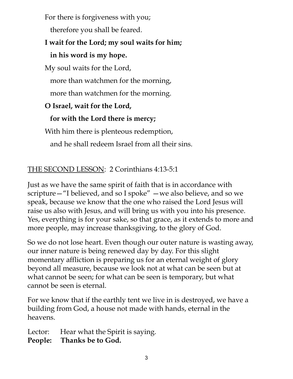For there is forgiveness with you;

therefore you shall be feared.

# **I wait for the Lord; my soul waits for him;**

# **in his word is my hope.**

My soul waits for the Lord,

more than watchmen for the morning,

more than watchmen for the morning.

# **O Israel, wait for the Lord,**

# **for with the Lord there is mercy;**

With him there is plenteous redemption,

and he shall redeem Israel from all their sins.

# THE SECOND LESSON: 2 Corinthians 4:13-5:1

Just as we have the same spirit of faith that is in accordance with scripture—"I believed, and so I spoke" —we also believe, and so we speak, because we know that the one who raised the Lord Jesus will raise us also with Jesus, and will bring us with you into his presence. Yes, everything is for your sake, so that grace, as it extends to more and more people, may increase thanksgiving, to the glory of God.

So we do not lose heart. Even though our outer nature is wasting away, our inner nature is being renewed day by day. For this slight momentary affliction is preparing us for an eternal weight of glory beyond all measure, because we look not at what can be seen but at what cannot be seen; for what can be seen is temporary, but what cannot be seen is eternal.

For we know that if the earthly tent we live in is destroyed, we have a building from God, a house not made with hands, eternal in the heavens.

Lector: Hear what the Spirit is saying. **People: Thanks be to God.**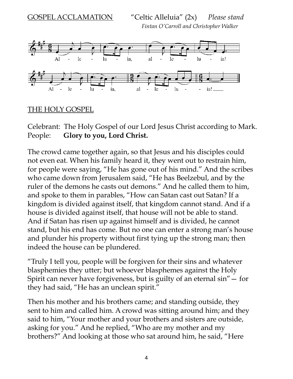

#### THE HOLY GOSPEL

Celebrant: The Holy Gospel of our Lord Jesus Christ according to Mark. People: **Glory to you, Lord Christ.**

The crowd came together again, so that Jesus and his disciples could not even eat. When his family heard it, they went out to restrain him, for people were saying, "He has gone out of his mind." And the scribes who came down from Jerusalem said, "He has Beelzebul, and by the ruler of the demons he casts out demons." And he called them to him, and spoke to them in parables, "How can Satan cast out Satan? If a kingdom is divided against itself, that kingdom cannot stand. And if a house is divided against itself, that house will not be able to stand. And if Satan has risen up against himself and is divided, he cannot stand, but his end has come. But no one can enter a strong man's house and plunder his property without first tying up the strong man; then indeed the house can be plundered.

"Truly I tell you, people will be forgiven for their sins and whatever blasphemies they utter; but whoever blasphemes against the Holy Spirit can never have forgiveness, but is guilty of an eternal sin"— for they had said, "He has an unclean spirit."

Then his mother and his brothers came; and standing outside, they sent to him and called him. A crowd was sitting around him; and they said to him, "Your mother and your brothers and sisters are outside, asking for you." And he replied, "Who are my mother and my brothers?" And looking at those who sat around him, he said, "Here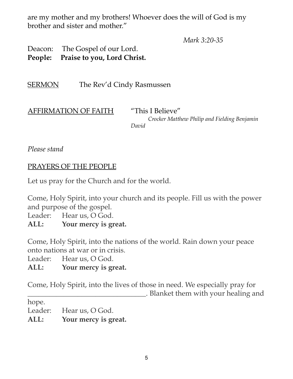are my mother and my brothers! Whoever does the will of God is my brother and sister and mother."

*Mark 3:20-35*

Deacon: The Gospel of our Lord. **People: Praise to you, Lord Christ.**

SERMON The Rev'd Cindy Rasmussen

| <b>AFFIRMATION OF FAITH</b> | "This I Believe"                             |
|-----------------------------|----------------------------------------------|
|                             | Crocker Matthew Philip and Fielding Benjamin |
|                             | David                                        |

*Please stand*

#### PRAYERS OF THE PEOPLE

Let us pray for the Church and for the world.

Come, Holy Spirit, into your church and its people. Fill us with the power and purpose of the gospel.

Leader: Hear us, O God.

**ALL: Your mercy is great.**

Come, Holy Spirit, into the nations of the world. Rain down your peace onto nations at war or in crisis.

Leader: Hear us, O God.

**ALL: Your mercy is great.**

Come, Holy Spirit, into the lives of those in need. We especially pray for \_\_\_\_\_\_\_\_\_\_\_\_\_\_\_\_\_\_\_\_\_\_\_\_\_\_\_\_\_\_\_\_\_. Blanket them with your healing and

hope.

Leader: Hear us, O God.

**ALL: Your mercy is great.**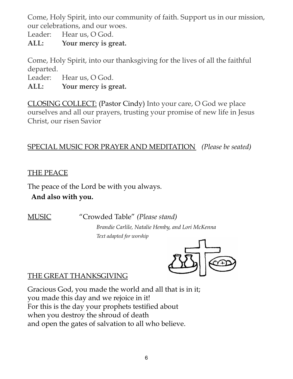Come, Holy Spirit, into our community of faith. Support us in our mission, our celebrations, and our woes.

Leader: Hear us, O God.

**ALL: Your mercy is great.**

Come, Holy Spirit, into our thanksgiving for the lives of all the faithful departed.

Leader: Hear us, O God.

**ALL: Your mercy is great.**

CLOSING COLLECT: (Pastor Cindy) Into your care, O God we place ourselves and all our prayers, trusting your promise of new life in Jesus Christ, our risen Savior

# SPECIAL MUSIC FOR PRAYER AND MEDITATION *(Please be seated)*

## THE PEACE

The peace of the Lord be with you always.

## **And also with you.**

MUSIC "Crowded Table" *(Please stand)*

*Brandie Carlile, Natalie Hemby, and Lori McKenna Text adapted for worship*



# THE GREAT THANKSGIVING

Gracious God, you made the world and all that is in it; you made this day and we rejoice in it! For this is the day your prophets testified about when you destroy the shroud of death and open the gates of salvation to all who believe.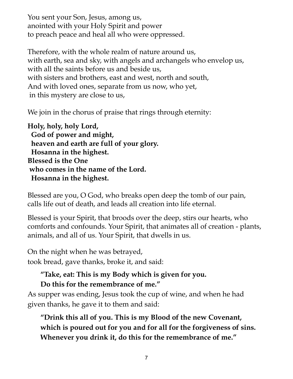You sent your Son, Jesus, among us, anointed with your Holy Spirit and power to preach peace and heal all who were oppressed.

Therefore, with the whole realm of nature around us, with earth, sea and sky, with angels and archangels who envelop us, with all the saints before us and beside us, with sisters and brothers, east and west, north and south, And with loved ones, separate from us now, who yet, in this mystery are close to us,

We join in the chorus of praise that rings through eternity:

**Holy, holy, holy Lord, God of power and might, heaven and earth are full of your glory. Hosanna in the highest. Blessed is the One who comes in the name of the Lord. Hosanna in the highest.**

Blessed are you, O God, who breaks open deep the tomb of our pain, calls life out of death, and leads all creation into life eternal.

Blessed is your Spirit, that broods over the deep, stirs our hearts, who comforts and confounds. Your Spirit, that animates all of creation - plants, animals, and all of us. Your Spirit, that dwells in us.

On the night when he was betrayed, took bread, gave thanks, broke it, and said:

#### **"Take, eat: This is my Body which is given for you. Do this for the remembrance of me."**

As supper was ending, Jesus took the cup of wine, and when he had given thanks, he gave it to them and said:

**"Drink this all of you. This is my Blood of the new Covenant, which is poured out for you and for all for the forgiveness of sins. Whenever you drink it, do this for the remembrance of me."**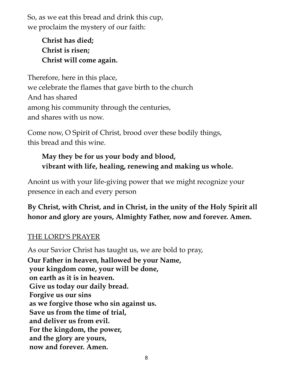So, as we eat this bread and drink this cup, we proclaim the mystery of our faith:

> **Christ has died; Christ is risen; Christ will come again.**

Therefore, here in this place, we celebrate the flames that gave birth to the church And has shared among his community through the centuries, and shares with us now.

Come now, O Spirit of Christ, brood over these bodily things, this bread and this wine.

# **May they be for us your body and blood, vibrant with life, healing, renewing and making us whole.**

Anoint us with your life-giving power that we might recognize your presence in each and every person

**By Christ, with Christ, and in Christ, in the unity of the Holy Spirit all honor and glory are yours, Almighty Father, now and forever. Amen.**

## THE LORD'S PRAYER

As our Savior Christ has taught us, we are bold to pray, **Our Father in heaven, hallowed be your Name, your kingdom come, your will be done, on earth as it is in heaven. Give us today our daily bread. Forgive us our sins as we forgive those who sin against us. Save us from the time of trial, and deliver us from evil. For the kingdom, the power, and the glory are yours, now and forever. Amen.**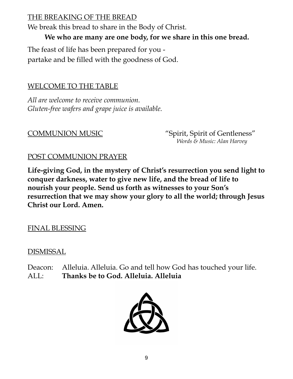## THE BREAKING OF THE BREAD

We break this bread to share in the Body of Christ.

**We who are many are one body, for we share in this one bread.**

The feast of life has been prepared for you partake and be filled with the goodness of God.

## WELCOME TO THE TABLE

*All are welcome to receive communion. Gluten-free wafers and grape juice is available.*

COMMUNION MUSIC "Spirit, Spirit of Gentleness" *Words & Music: Alan Harvey*

#### POST COMMUNION PRAYER

**Life-giving God, in the mystery of Christ's resurrection you send light to conquer darkness, water to give new life, and the bread of life to nourish your people. Send us forth as witnesses to your Son's resurrection that we may show your glory to all the world; through Jesus Christ our Lord. Amen.**

#### FINAL BLESSING

#### DISMISSAL

Deacon: Alleluia. Alleluia. Go and tell how God has touched your life. ALL: **Thanks be to God. Alleluia. Alleluia**

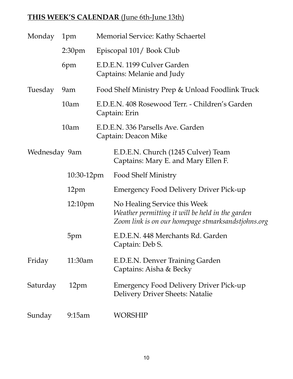# **THIS WEEK'S CALENDAR** (June 6th-June 13th)

| Monday           | 1pm                 | Memorial Service: Kathy Schaertel                                |                                                                                                                                        |  |  |  |
|------------------|---------------------|------------------------------------------------------------------|----------------------------------------------------------------------------------------------------------------------------------------|--|--|--|
|                  | 2:30 <sub>pm</sub>  | Episcopal 101/Book Club                                          |                                                                                                                                        |  |  |  |
|                  | 6pm                 |                                                                  | E.D.E.N. 1199 Culver Garden<br>Captains: Melanie and Judy                                                                              |  |  |  |
| Tuesday          | 9am                 | Food Shelf Ministry Prep & Unload Foodlink Truck                 |                                                                                                                                        |  |  |  |
|                  | 10am                | E.D.E.N. 408 Rosewood Terr. - Children's Garden<br>Captain: Erin |                                                                                                                                        |  |  |  |
|                  | 10am                | E.D.E.N. 336 Parsells Ave. Garden<br>Captain: Deacon Mike        |                                                                                                                                        |  |  |  |
| Wednesday 9am    |                     |                                                                  | E.D.E.N. Church (1245 Culver) Team<br>Captains: Mary E. and Mary Ellen F.                                                              |  |  |  |
|                  | 10:30-12pm          |                                                                  | <b>Food Shelf Ministry</b>                                                                                                             |  |  |  |
|                  | 12pm                |                                                                  | <b>Emergency Food Delivery Driver Pick-up</b>                                                                                          |  |  |  |
|                  | 12:10 <sub>pm</sub> |                                                                  | No Healing Service this Week<br>Weather permitting it will be held in the garden<br>Zoom link is on our homepage stmarksandstjohns.org |  |  |  |
|                  | 5pm                 |                                                                  | E.D.E.N. 448 Merchants Rd. Garden<br>Captain: Deb S.                                                                                   |  |  |  |
| Friday           | 11:30am             |                                                                  | E.D.E.N. Denver Training Garden<br>Captains: Aisha & Becky                                                                             |  |  |  |
| Saturday<br>12pm |                     |                                                                  | <b>Emergency Food Delivery Driver Pick-up</b><br>Delivery Driver Sheets: Natalie                                                       |  |  |  |
| Sunday           | 9:15am              |                                                                  | WORSHIP                                                                                                                                |  |  |  |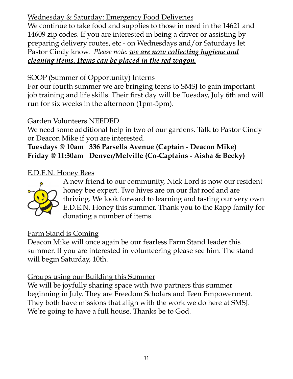# Wednesday & Saturday: Emergency Food Deliveries

We continue to take food and supplies to those in need in the 14621 and 14609 zip codes. If you are interested in being a driver or assisting by preparing delivery routes, etc - on Wednesdays and/or Saturdays let Pastor Cindy know. *Please note: we are now collecting hygiene and cleaning items. Items can be placed in the red wagon.*

## SOOP (Summer of Opportunity) Interns

For our fourth summer we are bringing teens to SMSJ to gain important job training and life skills. Their first day will be Tuesday, July 6th and will run for six weeks in the afternoon (1pm-5pm).

## Garden Volunteers NEEDED

We need some additional help in two of our gardens. Talk to Pastor Cindy or Deacon Mike if you are interested.

## **Tuesdays @ 10am 336 Parsells Avenue (Captain - Deacon Mike) Friday @ 11:30am Denver/Melville (Co-Captains - Aisha & Becky)**

#### E.D.E.N. Honey Bees



A new friend to our community, Nick Lord is now our resident honey bee expert. Two hives are on our flat roof and are thriving. We look forward to learning and tasting our very own E.D.E.N. Honey this summer. Thank you to the Rapp family for donating a number of items.

## Farm Stand is Coming

Deacon Mike will once again be our fearless Farm Stand leader this summer. If you are interested in volunteering please see him. The stand will begin Saturday, 10th.

## Groups using our Building this Summer

We will be joyfully sharing space with two partners this summer beginning in July. They are Freedom Scholars and Teen Empowerment. They both have missions that align with the work we do here at SMSJ. We're going to have a full house. Thanks be to God.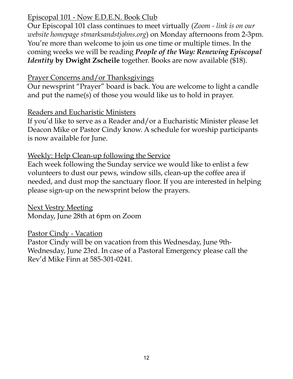#### Episcopal 101 - Now E.D.E.N. Book Club

Our Episcopal 101 class continues to meet virtually (*Zoom - link is on our website homepage stmarksandstjohns.org*) on Monday afternoons from 2-3pm. You're more than welcome to join us one time or multiple times. In the coming weeks we will be reading *People of the Way: Renewing Episcopal Identity* **by Dwight Zscheile** together. Books are now available (\$18).

#### Prayer Concerns and/or Thanksgivings

Our newsprint "Prayer" board is back. You are welcome to light a candle and put the name(s) of those you would like us to hold in prayer.

#### Readers and Eucharistic Ministers

If you'd like to serve as a Reader and/or a Eucharistic Minister please let Deacon Mike or Pastor Cindy know. A schedule for worship participants is now available for June.

#### Weekly: Help Clean-up following the Service

Each week following the Sunday service we would like to enlist a few volunteers to dust our pews, window sills, clean-up the coffee area if needed, and dust mop the sanctuary floor. If you are interested in helping please sign-up on the newsprint below the prayers.

Next Vestry Meeting Monday, June 28th at 6pm on Zoom

## Pastor Cindy - Vacation

Pastor Cindy will be on vacation from this Wednesday, June 9th-Wednesday, June 23rd. In case of a Pastoral Emergency please call the Rev'd Mike Finn at 585-301-0241.